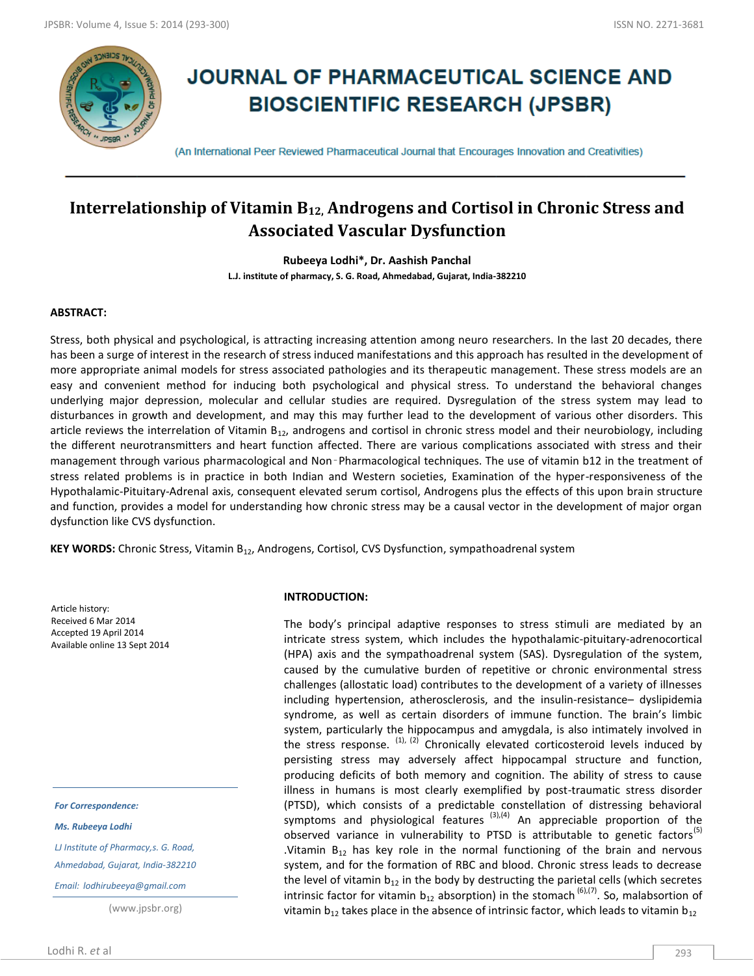

# **JOURNAL OF PHARMACEUTICAL SCIENCE AND BIOSCIENTIFIC RESEARCH (JPSBR)**

(An International Peer Reviewed Pharmaceutical Journal that Encourages Innovation and Creativities)

# **Interrelationship of Vitamin B12, Androgens and Cortisol in Chronic Stress and Associated Vascular Dysfunction**

**Rubeeya Lodhi\*, Dr. Aashish Panchal**

**L.J. institute of pharmacy, S. G. Road, Ahmedabad, Gujarat, India-382210**

#### **ABSTRACT:**

Stress, both physical and psychological, is attracting increasing attention among neuro researchers. In the last 20 decades, there has been a surge of interest in the research of stress induced manifestations and this approach has resulted in the development of more appropriate animal models for stress associated pathologies and its therapeutic management. These stress models are an easy and convenient method for inducing both psychological and physical stress. To understand the behavioral changes underlying major depression, molecular and cellular studies are required. Dysregulation of the stress system may lead to disturbances in growth and development, and may this may further lead to the development of various other disorders. This article reviews the interrelation of Vitamin  $B_{12}$ , androgens and cortisol in chronic stress model and their neurobiology, including the different neurotransmitters and heart function affected. There are various complications associated with stress and their management through various pharmacological and Non-Pharmacological techniques. The use of vitamin b12 in the treatment of stress related problems is in practice in both Indian and Western societies, Examination of the hyper-responsiveness of the Hypothalamic-Pituitary-Adrenal axis, consequent elevated serum cortisol, Androgens plus the effects of this upon brain structure and function, provides a model for understanding how chronic stress may be a causal vector in the development of major organ dysfunction like CVS dysfunction.

**KEY WORDS:** Chronic Stress, Vitamin B12, Androgens, Cortisol, CVS Dysfunction, sympathoadrenal system

Article history: Received 6 Mar 2014 Accepted 19 April 2014 Available online 13 Sept 2014

#### *For Correspondence:*

*Ms. Rubeeya Lodhi* 

*LJ Institute of Pharmacy,s. G. Road, Ahmedabad, Gujarat, India-382210*

*Email: lodhirubeeya@gmail.com*

(www.jpsbr.org)

#### **INTRODUCTION:**

The body's principal adaptive responses to stress stimuli are mediated by an intricate stress system, which includes the hypothalamic-pituitary-adrenocortical (HPA) axis and the sympathoadrenal system (SAS). Dysregulation of the system, caused by the cumulative burden of repetitive or chronic environmental stress challenges (allostatic load) contributes to the development of a variety of illnesses including hypertension, atherosclerosis, and the insulin-resistance– dyslipidemia syndrome, as well as certain disorders of immune function. The brain's limbic system, particularly the hippocampus and amygdala, is also intimately involved in the stress response.  $(1)$ ,  $(2)$  Chronically elevated corticosteroid levels induced by persisting stress may adversely affect hippocampal structure and function, producing deficits of both memory and cognition. The ability of stress to cause illness in humans is most clearly exemplified by post-traumatic stress disorder (PTSD), which consists of a predictable constellation of distressing behavioral symptoms and physiological features  $(3)$ ,  $(4)$  An appreciable proportion of the observed variance in vulnerability to PTSD is attributable to genetic factors<sup>(5)</sup> .Vitamin  $B_{12}$  has key role in the normal functioning of the brain and nervous system, and for the formation of RBC and blood. Chronic stress leads to decrease the level of vitamin  $b_{12}$  in the body by destructing the parietal cells (which secretes intrinsic factor for vitamin  $b_{12}$  absorption) in the stomach  $^{(6),(7)}$ . So, malabsortion of vitamin  $b_{12}$  takes place in the absence of intrinsic factor, which leads to vitamin  $b_{12}$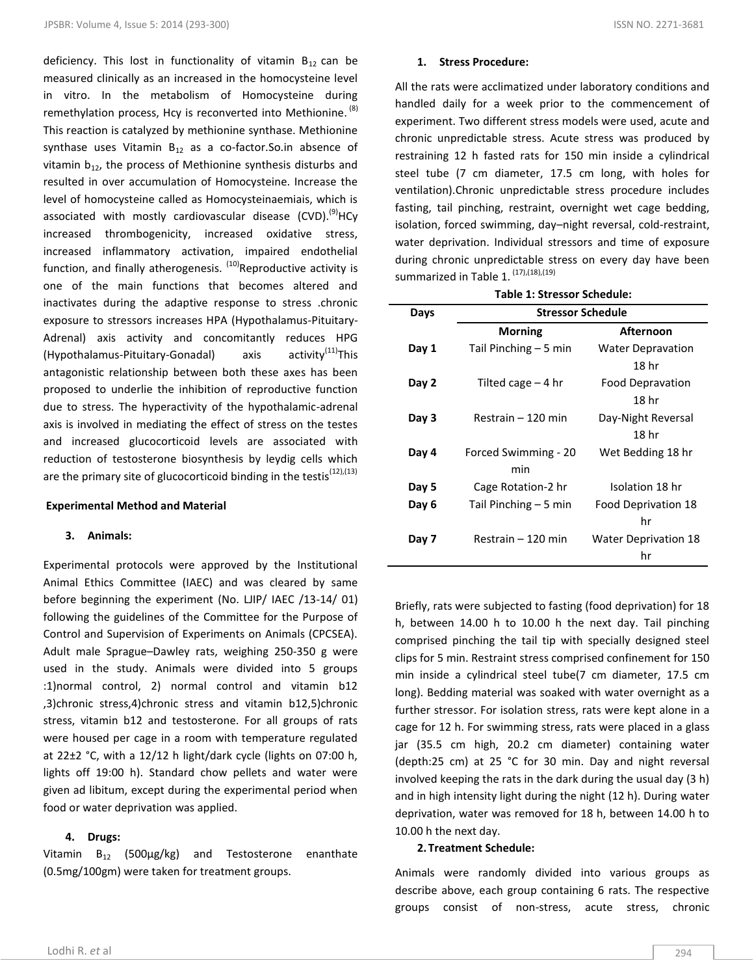deficiency. This lost in functionality of vitamin  $B_{12}$  can be measured clinically as an increased in the homocysteine level in vitro. In the metabolism of Homocysteine during remethylation process, Hcy is reconverted into Methionine. <sup>(8)</sup> This reaction is catalyzed by methionine synthase. Methionine synthase uses Vitamin  $B_{12}$  as a co-factor. So. in absence of vitamin  $b_{12}$ , the process of Methionine synthesis disturbs and resulted in over accumulation of Homocysteine. Increase the level of homocysteine called as Homocysteinaemiais, which is associated with mostly cardiovascular disease  $(CVD)$ .<sup>(9)</sup>HCy increased thrombogenicity, increased oxidative stress, increased inflammatory activation, impaired endothelial function, and finally atherogenesis.  $^{(10)}$ Reproductive activity is one of the main functions that becomes altered and inactivates during the adaptive response to stress .chronic exposure to stressors increases HPA (Hypothalamus-Pituitary-Adrenal) axis activity and concomitantly reduces HPG  $(Hypothalamus-Pituitary-Gonadal)$  axis activity<sup>(11)</sup>This antagonistic relationship between both these axes has been proposed to underlie the inhibition of reproductive function due to stress. The hyperactivity of the hypothalamic-adrenal axis is involved in mediating the effect of stress on the testes and increased glucocorticoid levels are associated with reduction of testosterone biosynthesis by leydig cells which are the primary site of glucocorticoid binding in the testis $(12)$ , $(13)$ 

#### **Experimental Method and Material**

#### **3. Animals:**

Experimental protocols were approved by the Institutional Animal Ethics Committee (IAEC) and was cleared by same before beginning the experiment (No. LJIP/ IAEC /13-14/ 01) following the guidelines of the Committee for the Purpose of Control and Supervision of Experiments on Animals (CPCSEA). Adult male Sprague–Dawley rats, weighing 250-350 g were used in the study. Animals were divided into 5 groups :1)normal control, 2) normal control and vitamin b12 ,3)chronic stress,4)chronic stress and vitamin b12,5)chronic stress, vitamin b12 and testosterone. For all groups of rats were housed per cage in a room with temperature regulated at 22±2 °C, with a 12/12 h light/dark cycle (lights on 07:00 h, lights off 19:00 h). Standard chow pellets and water were given ad libitum, except during the experimental period when food or water deprivation was applied.

#### **4. Drugs:**

Vitamin  $B_{12}$  (500µg/kg) and Testosterone enanthate (0.5mg/100gm) were taken for treatment groups.

#### **1. Stress Procedure:**

All the rats were acclimatized under laboratory conditions and handled daily for a week prior to the commencement of experiment. Two different stress models were used, acute and chronic unpredictable stress. Acute stress was produced by restraining 12 h fasted rats for 150 min inside a cylindrical steel tube (7 cm diameter, 17.5 cm long, with holes for ventilation).Chronic unpredictable stress procedure includes fasting, tail pinching, restraint, overnight wet cage bedding, isolation, forced swimming, day–night reversal, cold-restraint, water deprivation. Individual stressors and time of exposure during chronic unpredictable stress on every day have been summarized in Table 1.  $(17)$ ,  $(18)$ ,  $(19)$ 

| Table 1: Stressor Schedule: |                        |                             |  |  |  |
|-----------------------------|------------------------|-----------------------------|--|--|--|
| Days                        |                        | <b>Stressor Schedule</b>    |  |  |  |
|                             | <b>Morning</b>         | <b>Afternoon</b>            |  |  |  |
| Day 1                       | Tail Pinching $-5$ min | <b>Water Depravation</b>    |  |  |  |
|                             |                        | 18 hr                       |  |  |  |
| Day 2                       | Tilted cage $-4$ hr    | Food Depravation            |  |  |  |
|                             |                        | 18 hr                       |  |  |  |
| Day 3                       | Restrain - 120 min     | Day-Night Reversal          |  |  |  |
|                             |                        | 18 hr                       |  |  |  |
| Day 4                       | Forced Swimming - 20   | Wet Bedding 18 hr           |  |  |  |
|                             | min                    |                             |  |  |  |
| Day 5                       | Cage Rotation-2 hr     | Isolation 18 hr             |  |  |  |
| Day 6                       | Tail Pinching - 5 min  | Food Deprivation 18         |  |  |  |
|                             |                        | hr                          |  |  |  |
| Day 7                       | Restrain - 120 min     | <b>Water Deprivation 18</b> |  |  |  |
|                             |                        | hr                          |  |  |  |

Briefly, rats were subjected to fasting (food deprivation) for 18 h, between 14.00 h to 10.00 h the next day. Tail pinching comprised pinching the tail tip with specially designed steel clips for 5 min. Restraint stress comprised confinement for 150 min inside a cylindrical steel tube(7 cm diameter, 17.5 cm long). Bedding material was soaked with water overnight as a further stressor. For isolation stress, rats were kept alone in a cage for 12 h. For swimming stress, rats were placed in a glass jar (35.5 cm high, 20.2 cm diameter) containing water (depth:25 cm) at 25 °C for 30 min. Day and night reversal involved keeping the rats in the dark during the usual day (3 h) and in high intensity light during the night (12 h). During water deprivation, water was removed for 18 h, between 14.00 h to 10.00 h the next day.

#### **2. Treatment Schedule:**

Animals were randomly divided into various groups as describe above, each group containing 6 rats. The respective groups consist of non-stress, acute stress, chronic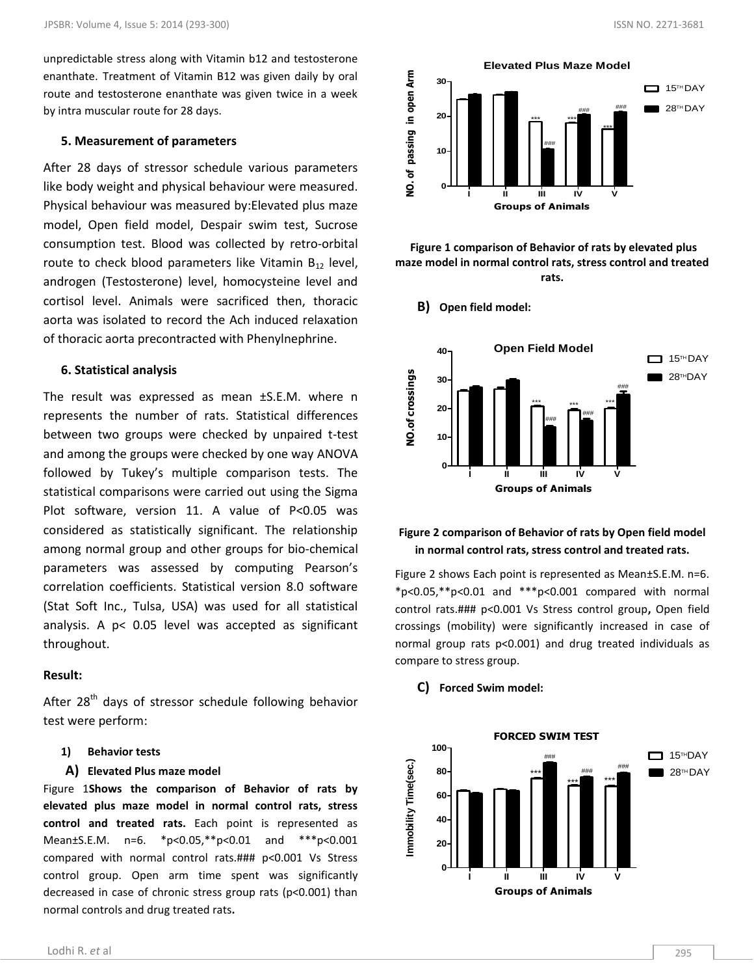unpredictable stress along with Vitamin b12 and testosterone enanthate. Treatment of Vitamin B12 was given daily by oral route and testosterone enanthate was given twice in a week by intra muscular route for 28 days.

## **5. Measurement of parameters**

After 28 days of stressor schedule various parameters like body weight and physical behaviour were measured. Physical behaviour was measured by:Elevated plus maze model, Open field model, Despair swim test, Sucrose consumption test. Blood was collected by retro-orbital route to check blood parameters like Vitamin  $B_{12}$  level, androgen (Testosterone) level, homocysteine level and cortisol level. Animals were sacrificed then, thoracic aorta was isolated to record the Ach induced relaxation of thoracic aorta precontracted with Phenylnephrine.

## **6. Statistical analysis**

The result was expressed as mean ±S.E.M. where n represents the number of rats. Statistical differences between two groups were checked by unpaired t-test and among the groups were checked by one way ANOVA followed by Tukey's multiple comparison tests. The statistical comparisons were carried out using the Sigma Plot software, version 11. A value of P<0.05 was considered as statistically significant. The relationship among normal group and other groups for bio-chemical parameters was assessed by computing Pearson's correlation coefficients. Statistical version 8.0 software (Stat Soft Inc., Tulsa, USA) was used for all statistical analysis. A p< 0.05 level was accepted as significant throughout.

## **Result:**

After  $28<sup>th</sup>$  days of stressor schedule following behavior test were perform:

## **1) Behavior tests**

## **A) Elevated Plus maze model**

Figure 1**Shows the comparison of Behavior of rats by elevated plus maze model in normal control rats, stress control and treated rats.** Each point is represented as Mean±S.E.M. n=6. \*p<0.05,\*\*p<0.01 and \*\*\*p<0.001 compared with normal control rats.### p<0.001 Vs Stress control group. Open arm time spent was significantly decreased in case of chronic stress group rats (p<0.001) than normal controls and drug treated rats**.**



**Figure 1 comparison of Behavior of rats by elevated plus maze model in normal control rats, stress control and treated rats.**

**Open Field Model I II III IV V 0 10 20 30 40**  $15<sup>TH</sup>$ DAY 28THDAY ### ### ### \*\*\* \*\*\* \*\*\* **Groups of Animals NO.of crossings**

## **B) Open field model:**

## **Figure 2 comparison of Behavior of rats by Open field model in normal control rats, stress control and treated rats.**

Figure 2 shows Each point is represented as Mean±S.E.M. n=6. \*p<0.05,\*\*p<0.01 and \*\*\*p<0.001 compared with normal control rats.### p<0.001 Vs Stress control group**,** Open field crossings (mobility) were significantly increased in case of normal group rats p<0.001) and drug treated individuals as compare to stress group.

## **C) Forced Swim model:**

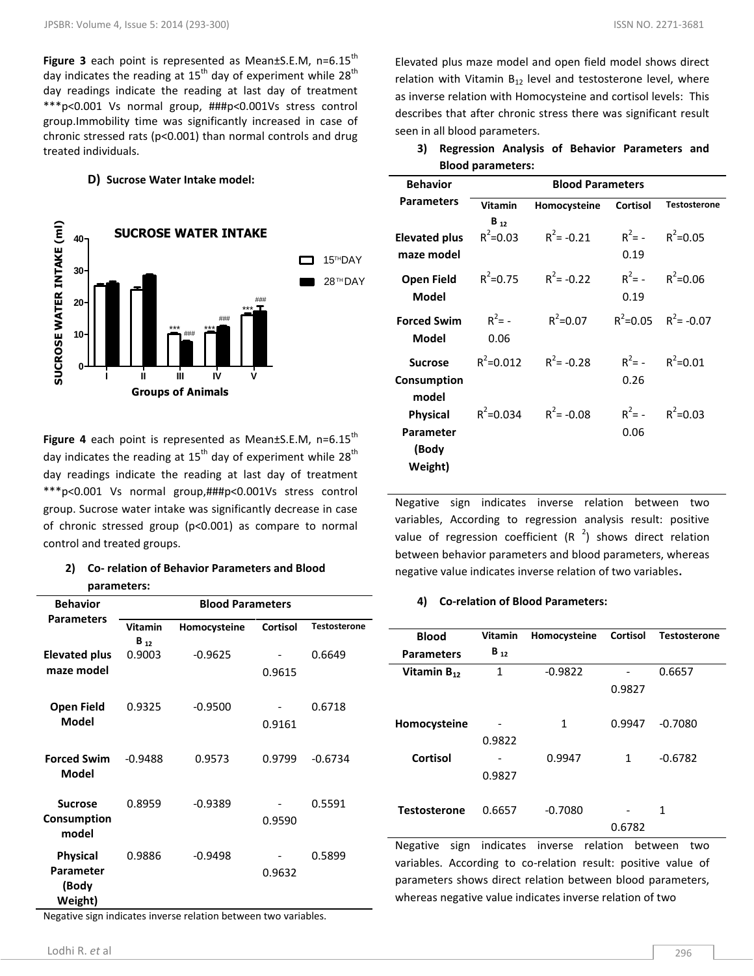Figure 3 each point is represented as Mean±S.E.M, n=6.15<sup>th</sup> day indicates the reading at  $15<sup>th</sup>$  day of experiment while  $28<sup>th</sup>$ day readings indicate the reading at last day of treatment \*\*\*p<0.001 Vs normal group, ###p<0.001Vs stress control group.Immobility time was significantly increased in case of chronic stressed rats (p<0.001) than normal controls and drug treated individuals.

### **D) Sucrose Water Intake model:**



Figure 4 each point is represented as Mean±S.E.M, n=6.15<sup>th</sup> day indicates the reading at  $15<sup>th</sup>$  day of experiment while 28<sup>th</sup> day readings indicate the reading at last day of treatment \*\*\*p<0.001 Vs normal group,###p<0.001Vs stress control group. Sucrose water intake was significantly decrease in case of chronic stressed group (p<0.001) as compare to normal control and treated groups.

## **2) Co- relation of Behavior Parameters and Blood parameters:**

| <b>Behavior</b>                                         | <b>Blood Parameters</b> |              |                 |                     |
|---------------------------------------------------------|-------------------------|--------------|-----------------|---------------------|
| <b>Parameters</b>                                       | <b>Vitamin</b>          | Homocysteine | <b>Cortisol</b> | <b>Testosterone</b> |
| Elevated plus<br>maze model                             | $B_{12}$<br>0.9003      | $-0.9625$    | 0.9615          | 0.6649              |
| Open Field<br>Model                                     | 0.9325                  | $-0.9500$    | 0.9161          | 0.6718              |
| <b>Forced Swim</b><br>Model                             | $-0.9488$               | 0.9573       | 0.9799          | $-0.6734$           |
| <b>Sucrose</b><br>Consumption<br>model                  | 0.8959                  | $-0.9389$    | 0.9590          | 0.5591              |
| <b>Physical</b><br><b>Parameter</b><br>(Body<br>Weight) | 0.9886                  | $-0.9498$    | 0.9632          | 0.5899              |

Negative sign indicates inverse relation between two variables.

Lodhi R. *et* al 296

Elevated plus maze model and open field model shows direct relation with Vitamin  $B_{12}$  level and testosterone level, where as inverse relation with Homocysteine and cortisol levels: This describes that after chronic stress there was significant result seen in all blood parameters.

**3) Regression Analysis of Behavior Parameters and Blood parameters:**

| <b>Behavior</b>                                                  | <b>Blood Parameters</b> |                            |          |                           |
|------------------------------------------------------------------|-------------------------|----------------------------|----------|---------------------------|
| <b>Parameters</b>                                                | <b>Vitamin</b>          | Homocysteine               | Cortisol | <b>Testosterone</b>       |
| <b>Elevated plus</b><br>maze model                               | $B_{12}$<br>$R^2$ =0.03 | $R^2$ = -0.21              | 0.19     | $R^2$ = - $R^2$ =0.05     |
| Open Field<br>Model                                              |                         | $R^2$ =0.75 $R^2$ = -0.22  | 0.19     | $R^2$ = - $R^2$ =0.06     |
| <b>Forced Swim</b><br>Model                                      | $R^2 = -$<br>0.06       | $R^2 = 0.07$               |          | $R^2$ =0.05 $R^2$ = -0.07 |
| <b>Sucrose</b><br>Consumption                                    |                         | $R^2$ =0.012 $R^2$ = -0.28 | 0.26     | $R^2$ = - $R^2$ =0.01     |
| model<br><b>Physical</b><br><b>Parameter</b><br>(Body<br>Weight) |                         | $R^2$ =0.034 $R^2$ = -0.08 | 0.06     | $R^2$ = - $R^2$ =0.03     |

Negative sign indicates inverse relation between two variables, According to regression analysis result: positive value of regression coefficient  $(R<sup>2</sup>)$  shows direct relation between behavior parameters and blood parameters, whereas negative value indicates inverse relation of two variables**.**

#### **4) Co-relation of Blood Parameters:**

| <b>Blood</b>            | <b>Vitamin</b> | Homocysteine | Cortisol | <b>Testosterone</b> |
|-------------------------|----------------|--------------|----------|---------------------|
| <b>Parameters</b>       | $B_{12}$       |              |          |                     |
| Vitamin $B_{12}$        | 1              | $-0.9822$    |          | 0.6657              |
|                         |                |              | 0.9827   |                     |
|                         |                |              |          |                     |
| Homocysteine            |                | 1            | 0.9947   | $-0.7080$           |
|                         | 0.9822         |              |          |                     |
| Cortisol                |                | 0.9947       | 1        | $-0.6782$           |
|                         | 0.9827         |              |          |                     |
|                         |                |              |          |                     |
| Testosterone            | 0.6657         | $-0.7080$    |          | 1                   |
|                         |                |              | 0.6782   |                     |
| <b>Negative</b><br>sign | indicates      | inverse      | relation | between<br>two      |

variables. According to co-relation result: positive value of parameters shows direct relation between blood parameters, whereas negative value indicates inverse relation of two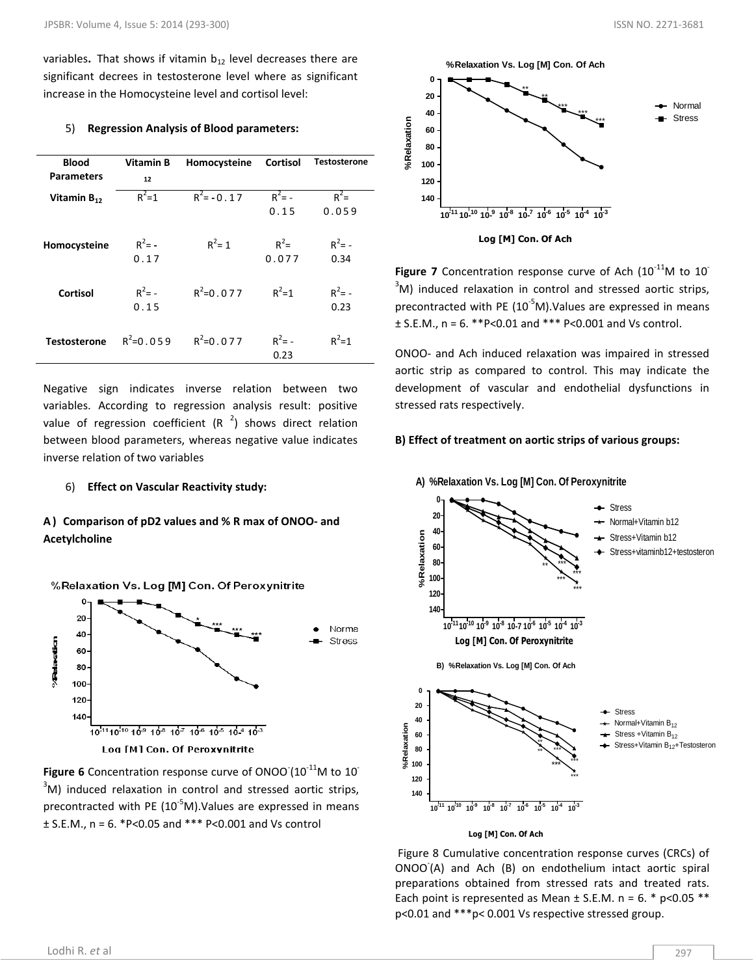variables. That shows if vitamin  $b_{12}$  level decreases there are significant decrees in testosterone level where as significant increase in the Homocysteine level and cortisol level:

## 5) **Regression Analysis of Blood parameters:**

| <b>Blood</b><br><b>Parameters</b> | Vitamin B<br>12   | Homocysteine  | <b>Cortisol</b>   | <b>Testosterone</b> |
|-----------------------------------|-------------------|---------------|-------------------|---------------------|
| Vitamin $B_{12}$                  | $R^2=1$           | $R^2 = -0.17$ | $R^2 = -$<br>0.15 | $R^2$ =<br>0.059    |
| Homocysteine                      | $R^2 = -$<br>0.17 | $R^2 = 1$     | $R^2$ =<br>0.077  | $R^2 = -$<br>0.34   |
| Cortisol                          | $R^2 = -$<br>0.15 | $R^2 = 0.077$ | $R^2 = 1$         | $R^2 = -$<br>0.23   |
| <b>Testosterone</b>               | $R^2 = 0.059$     | $R^2 = 0.077$ | $R^2 = -$<br>0.23 | $R^2 = 1$           |

Negative sign indicates inverse relation between two variables. According to regression analysis result: positive value of regression coefficient  $(R<sup>2</sup>)$  shows direct relation between blood parameters, whereas negative value indicates inverse relation of two variables

## 6) **Effect on Vascular Reactivity study:**

## **A ) Comparison of pD2 values and % R max of ONOO- and Acetylcholine**



**Figure 6** Concentration response curve of  $ONOO(10^{-11}M$  to  $10^{-11}M$  $3^3$ M) induced relaxation in control and stressed aortic strips, precontracted with PE  $(10^{-5}M)$ . Values are expressed in means  $± S.E.M., n = 6. *P < 0.05$  and  $*** P < 0.001$  and Vs control



**Log [M] Con. Of Ach**

**Figure 7** Concentration response curve of Ach  $(10^{-11}M$  to  $10^{-11}M$  $3$ M) induced relaxation in control and stressed aortic strips, precontracted with PE  $(10^{-5}M)$ . Values are expressed in means  $\pm$  S.E.M., n = 6. \*\*P<0.01 and \*\*\* P<0.001 and Vs control.

ONOO- and Ach induced relaxation was impaired in stressed aortic strip as compared to control. This may indicate the development of vascular and endothelial dysfunctions in stressed rats respectively.

## **B) Effect of treatment on aortic strips of various groups:**



Figure 8 Cumulative concentration response curves (CRCs) of ONOO<sup>(</sup>A) and Ach (B) on endothelium intact aortic spiral preparations obtained from stressed rats and treated rats. Each point is represented as Mean  $\pm$  S.E.M. n = 6. \* p<0.05 \*\* p<0.01 and \*\*\*p< 0.001 Vs respective stressed group.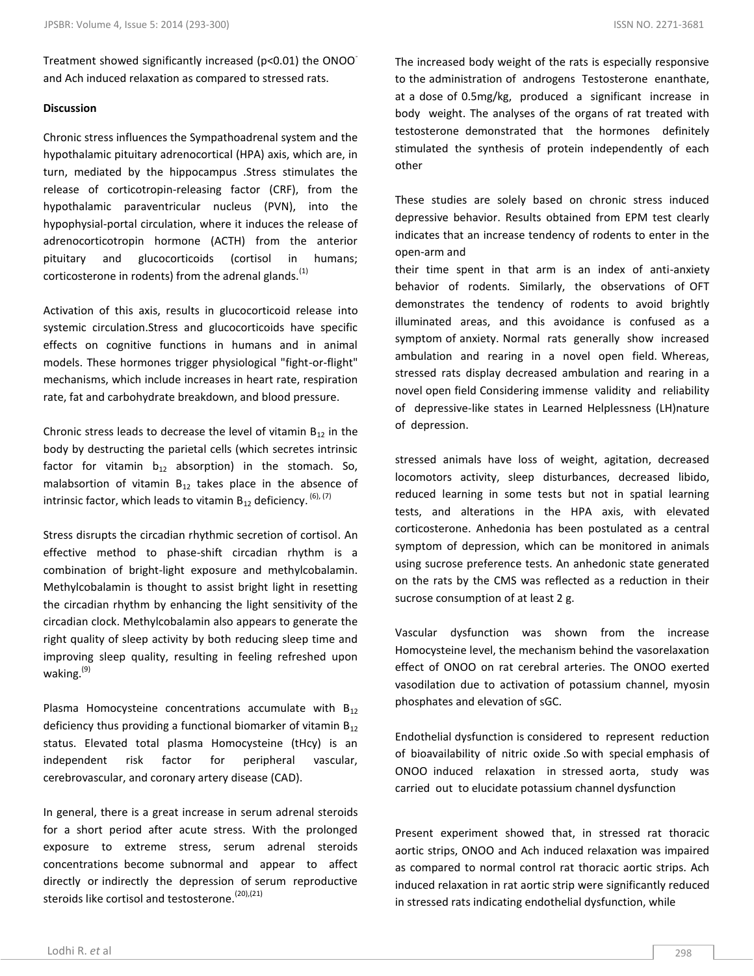Treatment showed significantly increased (p<0.01) the ONOOand Ach induced relaxation as compared to stressed rats.

#### **Discussion**

Chronic stress influences the Sympathoadrenal system and the hypothalamic pituitary adrenocortical (HPA) axis, which are, in turn, mediated by the hippocampus .Stress stimulates the release of corticotropin-releasing factor (CRF), from the hypothalamic paraventricular nucleus (PVN), into the hypophysial-portal circulation, where it induces the release of adrenocorticotropin hormone (ACTH) from the anterior pituitary and glucocorticoids (cortisol in humans; corticosterone in rodents) from the adrenal glands.<sup>(1)</sup>

Activation of this axis, results in glucocorticoid release into systemic circulation.Stress and glucocorticoids have specific effects on cognitive functions in humans and in animal models. These hormones trigger physiological "fight-or-flight" mechanisms, which include increases in heart rate, respiration rate, fat and carbohydrate breakdown, and blood pressure.

Chronic stress leads to decrease the level of vitamin  $B_{12}$  in the body by destructing the parietal cells (which secretes intrinsic factor for vitamin  $b_{12}$  absorption) in the stomach. So, malabsortion of vitamin  $B_{12}$  takes place in the absence of intrinsic factor, which leads to vitamin  $B_{12}$  deficiency. <sup>(6), (7)</sup>

Stress disrupts the circadian rhythmic secretion of cortisol. An effective method to phase-shift circadian rhythm is a combination of bright-light exposure and methylcobalamin. Methylcobalamin is thought to assist bright light in resetting the circadian rhythm by enhancing the light sensitivity of the circadian clock. Methylcobalamin also appears to generate the right quality of sleep activity by both reducing sleep time and improving sleep quality, resulting in feeling refreshed upon waking.(9)

Plasma Homocysteine concentrations accumulate with  $B_{12}$ deficiency thus providing a functional biomarker of vitamin  $B_{12}$ status. Elevated total plasma Homocysteine (tHcy) is an independent risk factor for peripheral vascular, cerebrovascular, and coronary artery disease (CAD).

In general, there is a great increase in serum adrenal steroids for a short period after acute stress. With the prolonged exposure to extreme stress, serum adrenal steroids concentrations become subnormal and appear to affect directly or indirectly the depression of serum reproductive steroids like cortisol and testosterone.<sup>(20),(21)</sup>

The increased body weight of the rats is especially responsive to the administration of androgens Testosterone enanthate, at a dose of 0.5mg/kg, produced a significant increase in body weight. The analyses of the organs of rat treated with testosterone demonstrated that the hormones definitely stimulated the synthesis of protein independently of each other

These studies are solely based on chronic stress induced depressive behavior. Results obtained from EPM test clearly indicates that an increase tendency of rodents to enter in the open-arm and

their time spent in that arm is an index of anti-anxiety behavior of rodents. Similarly, the observations of OFT demonstrates the tendency of rodents to avoid brightly illuminated areas, and this avoidance is confused as a symptom of anxiety. Normal rats generally show increased ambulation and rearing in a novel open field. Whereas, stressed rats display decreased ambulation and rearing in a novel open field Considering immense validity and reliability of depressive-like states in Learned Helplessness (LH)nature of depression.

stressed animals have loss of weight, agitation, decreased locomotors activity, sleep disturbances, decreased libido, reduced learning in some tests but not in spatial learning tests, and alterations in the HPA axis, with elevated corticosterone. Anhedonia has been postulated as a central symptom of depression, which can be monitored in animals using sucrose preference tests. An anhedonic state generated on the rats by the CMS was reflected as a reduction in their sucrose consumption of at least 2 g.

Vascular dysfunction was shown from the increase Homocysteine level, the mechanism behind the vasorelaxation effect of ONOO on rat cerebral arteries. The ONOO exerted vasodilation due to activation of potassium channel, myosin phosphates and elevation of sGC.

Endothelial dysfunction is considered to represent reduction of bioavailability of nitric oxide .So with special emphasis of ONOO induced relaxation in stressed aorta, study was carried out to elucidate potassium channel dysfunction

Present experiment showed that, in stressed rat thoracic aortic strips, ONOO and Ach induced relaxation was impaired as compared to normal control rat thoracic aortic strips. Ach induced relaxation in rat aortic strip were significantly reduced in stressed rats indicating endothelial dysfunction, while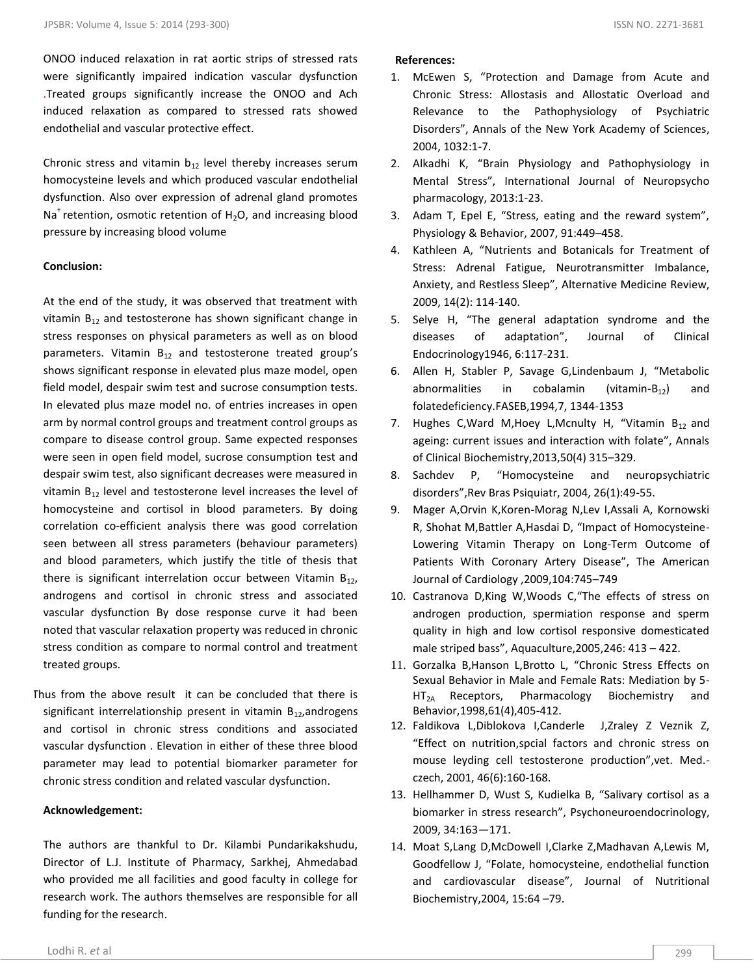ONOO induced relaxation in rat aortic strips of stressed rats were significantly impaired indication vascular dysfunction .Treated groups significantly increase the ONOO and Ach induced relaxation as compared to stressed rats showed endothelial and vascular protective effect.

Chronic stress and vitamin  $b_{12}$  level thereby increases serum homocysteine levels and which produced vascular endothelial dysfunction. Also over expression of adrenal gland promotes  $Na<sup>+</sup>$  retention, osmotic retention of H<sub>2</sub>O, and increasing blood pressure by increasing blood volume

## **Conclusion:**

At the end of the study, it was observed that treatment with vitamin  $B_{12}$  and testosterone has shown significant change in stress responses on physical parameters as well as on blood parameters. Vitamin  $B_{12}$  and testosterone treated group's shows significant response in elevated plus maze model, open field model, despair swim test and sucrose consumption tests. In elevated plus maze model no. of entries increases in open arm by normal control groups and treatment control groups as compare to disease control group. Same expected responses were seen in open field model, sucrose consumption test and despair swim test, also significant decreases were measured in vitamin  $B_{12}$  level and testosterone level increases the level of homocysteine and cortisol in blood parameters. By doing correlation co-efficient analysis there was good correlation seen between all stress parameters (behaviour parameters) and blood parameters, which justify the title of thesis that there is significant interrelation occur between Vitamin  $B_{12}$ , androgens and cortisol in chronic stress and associated vascular dysfunction By dose response curve it had been noted that vascular relaxation property was reduced in chronic stress condition as compare to normal control and treatment treated groups.

 Thus from the above result it can be concluded that there is significant interrelationship present in vitamin  $B_{12}$ , androgens and cortisol in chronic stress conditions and associated vascular dysfunction . Elevation in either of these three blood parameter may lead to potential biomarker parameter for chronic stress condition and related vascular dysfunction.

#### **Acknowledgement:**

The authors are thankful to Dr. Kilambi Pundarikakshudu, Director of L.J. Institute of Pharmacy, Sarkhej, Ahmedabad who provided me all facilities and good faculty in college for research work. The authors themselves are responsible for all funding for the research.

#### **References:**

- 1. McEwen S, "Protection and Damage from Acute and Chronic Stress: Allostasis and Allostatic Overload and Relevance to the Pathophysiology of Psychiatric Disorders", Annals of the New York Academy of Sciences, 2004, 1032:1-7.
- 2. Alkadhi K, "Brain Physiology and Pathophysiology in Mental Stress", International Journal of Neuropsycho pharmacology, 2013:1-23.
- 3. Adam T, Epel E, "Stress, eating and the reward system", Physiology & Behavior, 2007, 91:449–458.
- 4. Kathleen A, "Nutrients and Botanicals for Treatment of Stress: Adrenal Fatigue, Neurotransmitter Imbalance, Anxiety, and Restless Sleep", Alternative Medicine Review, 2009, 14(2): 114-140.
- 5. Selye H, "The general adaptation syndrome and the diseases of adaptation", Journal of Clinical Endocrinology1946, 6:117-231.
- 6. Allen H, Stabler P, Savage G,Lindenbaum J, "Metabolic abnormalities in cobalamin (vitamin- $B_{12}$ ) and folatedeficiency.FASEB,1994,7, 1344-1353
- 7. Hughes C, Ward M, Hoey L, Mcnulty H, "Vitamin  $B_{12}$  and ageing: current issues and interaction with folate", Annals of Clinical Biochemistry,2013,50(4) 315–329.
- 8. Sachdev P, "Homocysteine and neuropsychiatric disorders",Rev Bras Psiquiatr, 2004, 26(1):49-55.
- 9. Mager A,Orvin K,Koren-Morag N,Lev I,Assali A, Kornowski R, Shohat M,Battler A,Hasdai D, "Impact of Homocysteine-Lowering Vitamin Therapy on Long-Term Outcome of Patients With Coronary Artery Disease", The American Journal of Cardiology ,2009,104:745–749
- 10. Castranova D,King W,Woods C,"The effects of stress on androgen production, spermiation response and sperm quality in high and low cortisol responsive domesticated male striped bass", Aquaculture,2005,246: 413 – 422.
- 11. Gorzalka B,Hanson L,Brotto L, "Chronic Stress Effects on Sexual Behavior in Male and Female Rats: Mediation by 5-  $HT<sub>2A</sub>$  Receptors, Pharmacology Biochemistry and Behavior,1998,61(4),405-412.
- 12. Faldikova L,Diblokova I,Canderle J,Zraley Z Veznik Z, "Effect on nutrition,spcial factors and chronic stress on mouse leyding cell testosterone production",vet. Med. czech, 2001, 46(6):160-168.
- 13. Hellhammer D, Wust S, Kudielka B, "Salivary cortisol as a biomarker in stress research", Psychoneuroendocrinology, 2009, 34:163—171.
- 14. Moat S,Lang D,McDowell I,Clarke Z,Madhavan A,Lewis M, Goodfellow J, "Folate, homocysteine, endothelial function and cardiovascular disease", Journal of Nutritional Biochemistry,2004, 15:64 –79.